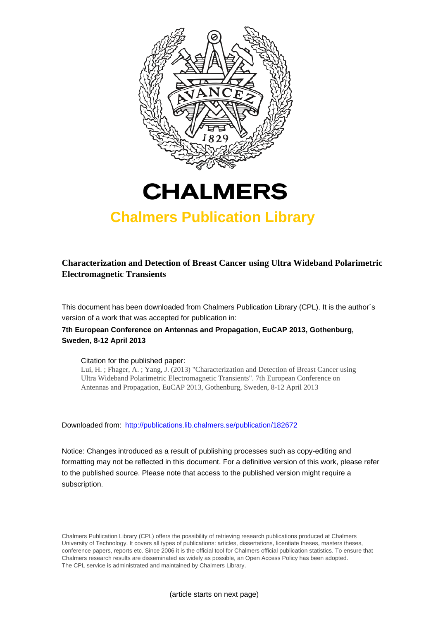



## **Chalmers Publication Library**

## **Characterization and Detection of Breast Cancer using Ultra Wideband Polarimetric Electromagnetic Transients**

This document has been downloaded from Chalmers Publication Library (CPL). It is the author´s version of a work that was accepted for publication in:

### **7th European Conference on Antennas and Propagation, EuCAP 2013, Gothenburg, Sweden, 8-12 April 2013**

#### Citation for the published paper:

Lui, H. ; Fhager, A. ; Yang, J. (2013) "Characterization and Detection of Breast Cancer using Ultra Wideband Polarimetric Electromagnetic Transients". 7th European Conference on Antennas and Propagation, EuCAP 2013, Gothenburg, Sweden, 8-12 April 2013

Downloaded from: <http://publications.lib.chalmers.se/publication/182672>

Notice: Changes introduced as a result of publishing processes such as copy-editing and formatting may not be reflected in this document. For a definitive version of this work, please refer to the published source. Please note that access to the published version might require a subscription.

Chalmers Publication Library (CPL) offers the possibility of retrieving research publications produced at Chalmers University of Technology. It covers all types of publications: articles, dissertations, licentiate theses, masters theses, conference papers, reports etc. Since 2006 it is the official tool for Chalmers official publication statistics. To ensure that Chalmers research results are disseminated as widely as possible, an Open Access Policy has been adopted. The CPL service is administrated and maintained by Chalmers Library.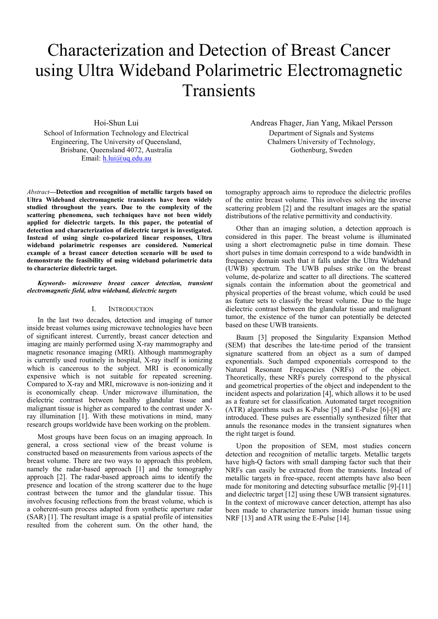# Characterization and Detection of Breast Cancer using Ultra Wideband Polarimetric Electromagnetic Transients

Hoi-Shun Lui

School of Information Technology and Electrical Engineering, The University of Queensland, Brisbane, Queensland 4072, Australia Email: h.lui@uq.edu.au

*Abstract***—Detection and recognition of metallic targets based on Ultra Wideband electromagnetic transients have been widely studied throughout the years. Due to the complexity of the scattering phenomena, such techniques have not been widely applied for dielectric targets. In this paper, the potential of detection and characterization of dielectric target is investigated. Instead of using single co-polarized linear responses, Ultra wideband polarimetric responses are considered. Numerical example of a breast cancer detection scenario will be used to demonstrate the feasibility of using wideband polarimetric data to characterize dielectric target.** 

#### *Keywords- microwave breast cancer detection, transient electromagnetic field, ultra wideband, dielectric targets*

#### I. INTRODUCTION

In the last two decades, detection and imaging of tumor inside breast volumes using microwave technologies have been of significant interest. Currently, breast cancer detection and imaging are mainly performed using X-ray mammography and magnetic resonance imaging (MRI). Although mammography is currently used routinely in hospital, X-ray itself is ionizing which is cancerous to the subject. MRI is economically expensive which is not suitable for repeated screening. Compared to X-ray and MRI, microwave is non-ionizing and it is economically cheap. Under microwave illumination, the dielectric contrast between healthy glandular tissue and malignant tissue is higher as compared to the contrast under Xray illumination [1]. With these motivations in mind, many research groups worldwide have been working on the problem.

Most groups have been focus on an imaging approach. In general, a cross sectional view of the breast volume is constructed based on measurements from various aspects of the breast volume. There are two ways to approach this problem, namely the radar-based approach [1] and the tomography approach [2]. The radar-based approach aims to identify the presence and location of the strong scatterer due to the huge contrast between the tumor and the glandular tissue. This involves focusing reflections from the breast volume, which is a coherent-sum process adapted from synthetic aperture radar (SAR) [1]. The resultant image is a spatial profile of intensities resulted from the coherent sum. On the other hand, the Andreas Fhager, Jian Yang, Mikael Persson Department of Signals and Systems Chalmers University of Technology, Gothenburg, Sweden

tomography approach aims to reproduce the dielectric profiles of the entire breast volume. This involves solving the inverse scattering problem [2] and the resultant images are the spatial distributions of the relative permittivity and conductivity.

Other than an imaging solution, a detection approach is considered in this paper. The breast volume is illuminated using a short electromagnetic pulse in time domain. These short pulses in time domain correspond to a wide bandwidth in frequency domain such that it falls under the Ultra Wideband (UWB) spectrum. The UWB pulses strike on the breast volume, de-polarize and scatter to all directions. The scattered signals contain the information about the geometrical and physical properties of the breast volume, which could be used as feature sets to classify the breast volume. Due to the huge dielectric contrast between the glandular tissue and malignant tumor, the existence of the tumor can potentially be detected based on these UWB transients.

Baum [3] proposed the Singularity Expansion Method (SEM) that describes the late-time period of the transient signature scattered from an object as a sum of damped exponentials. Such damped exponentials correspond to the Natural Resonant Frequencies (NRFs) of the object. Theoretically, these NRFs purely correspond to the physical and geometrical properties of the object and independent to the incident aspects and polarization [4], which allows it to be used as a feature set for classification. Automated target recognition (ATR) algorithms such as K-Pulse [5] and E-Pulse [6]-[8] are introduced. These pulses are essentially synthesized filter that annuls the resonance modes in the transient signatures when the right target is found.

Upon the proposition of SEM, most studies concern detection and recognition of metallic targets. Metallic targets have high-Q factors with small damping factor such that their NRFs can easily be extracted from the transients. Instead of metallic targets in free-space, recent attempts have also been made for monitoring and detecting subsurface metallic [9]-[11] and dielectric target [12] using these UWB transient signatures. In the context of microwave cancer detection, attempt has also been made to characterize tumors inside human tissue using NRF [13] and ATR using the E-Pulse [14].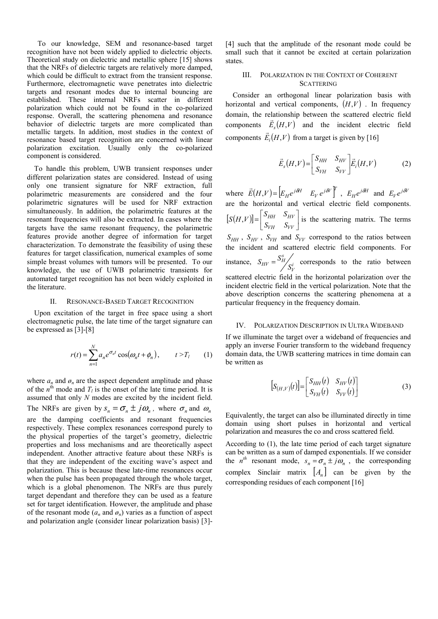To our knowledge, SEM and resonance-based target recognition have not been widely applied to dielectric objects. Theoretical study on dielectric and metallic sphere [15] shows that the NRFs of dielectric targets are relatively more damped, which could be difficult to extract from the transient response. Furthermore, electromagnetic wave penetrates into dielectric targets and resonant modes due to internal bouncing are established. These internal NRFs scatter in different polarization which could not be found in the co-polarized response. Overall, the scattering phenomena and resonance behavior of dielectric targets are more complicated than metallic targets. In addition, most studies in the context of resonance based target recognition are concerned with linear polarization excitation. Usually only the co-polarized component is considered.

To handle this problem, UWB transient responses under different polarization states are considered. Instead of using only one transient signature for NRF extraction, full polarimetric measurements are considered and the four polarimetric signatures will be used for NRF extraction simultaneously. In addition, the polarimetric features at the resonant frequencies will also be extracted. In cases where the targets have the same resonant frequency, the polarimetric features provide another degree of information for target characterization. To demonstrate the feasibility of using these features for target classification, numerical examples of some simple breast volumes with tumors will be presented. To our knowledge, the use of UWB polarimetric transients for automated target recognition has not been widely exploited in the literature.

#### II. RESONANCE-BASED TARGET RECOGNITION

Upon excitation of the target in free space using a short electromagnetic pulse, the late time of the target signature can be expressed as [3]-[8]

$$
r(t) = \sum_{n=1}^{N} a_n e^{\sigma_n t} \cos(\omega_n t + \phi_n), \qquad t > T_l \qquad (1)
$$

where  $a_n$  and  $\phi_n$  are the aspect dependent amplitude and phase of the  $n^{\text{th}}$  mode and  $T_l$  is the onset of the late time period. It is assumed that only *N* modes are excited by the incident field. The NRFs are given by  $s_n = \sigma_n \pm j\omega_n$ , where  $\sigma_n$  and  $\omega_n$ are the damping coefficients and resonant frequencies respectively. These complex resonances correspond purely to the physical properties of the target's geometry, dielectric properties and loss mechanisms and are theoretically aspect independent. Another attractive feature about these NRFs is that they are independent of the exciting wave's aspect and polarization. This is because these late-time resonances occur when the pulse has been propagated through the whole target, which is a global phenomenon. The NRFs are thus purely target dependant and therefore they can be used as a feature set for target identification. However, the amplitude and phase of the resonant mode  $(a_n \text{ and } \phi_n)$  varies as a function of aspect and polarization angle (consider linear polarization basis) [3]-

[4] such that the amplitude of the resonant mode could be small such that it cannot be excited at certain polarization states.

#### III. POLARIZATION IN THE CONTEXT OF COHERENT **SCATTERING**

Consider an orthogonal linear polarization basis with horizontal and vertical components,  $(H, V)$ . In frequency domain, the relationship between the scattered electric field components  $\vec{E}_s(H,V)$  and the incident electric field components  $\vec{E}_i(H,V)$  from a target is given by [16]

$$
\vec{E}_s(H,V) = \begin{bmatrix} S_{HH} & S_{HV} \\ S_{VH} & S_{VV} \end{bmatrix} \vec{E}_i(H,V) \tag{2}
$$

where  $\vec{E}(H, V) = \begin{bmatrix} E_H e^{j\delta H} & E_V e^{j\delta V} \end{bmatrix}^T$ ,  $E_H e^{j\delta H}$  and  $E_V e^{j\delta V}$ are the horizontal and vertical electric field components.  $[S(H, V)] = \begin{bmatrix} S_{HH} & S_{HV} \\ S_{VH} & S_{VV} \end{bmatrix}$  $=\vert$ *VH VV HH HV*  $[S(H, V)] = \begin{bmatrix} S_{HH} & S_{HV} \ S_{VH} & S_{VV} \end{bmatrix}$  is the scattering matrix. The terms  $S_{HH}$ ,  $S_{HV}$ ,  $S_{VH}$  and  $S_{VV}$  correspond to the ratios between the incident and scattered electric field components. For instance,  $S_{HV} = \frac{S_H}{S_V^i}$  $S_{HV} = \frac{S_H^s}{S_V^i}$  corresponds to the ratio between scattered electric field in the horizontal polarization over the incident electric field in the vertical polarization. Note that the above description concerns the scattering phenomena at a particular frequency in the frequency domain.

#### IV. POLARIZATION DESCRIPTION IN ULTRA WIDEBAND

If we illuminate the target over a wideband of frequencies and apply an inverse Fourier transform to the wideband frequency domain data, the UWB scattering matrices in time domain can be written as

$$
\left[S_{(H,V)}(t)\right] = \begin{bmatrix} S_{HH}(t) & S_{HV}(t) \\ S_{VH}(t) & S_{VV}(t) \end{bmatrix} \tag{3}
$$

Equivalently, the target can also be illuminated directly in time domain using short pulses in horizontal and vertical polarization and measures the co and cross scattered field.

According to (1), the late time period of each target signature can be written as a sum of damped exponentials. If we consider the *n*<sup>th</sup> resonant mode,  $s_n = \sigma_n \pm j\omega_n$ , the corresponding complex Sinclair matrix  $[A_n]$  can be given by the corresponding residues of each component [16]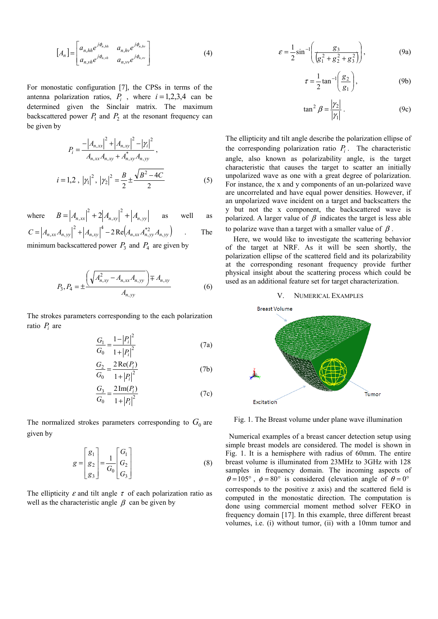$$
[A_n] = \begin{bmatrix} a_{n,hh} e^{j\phi_{n,hh}} & a_{n,hv} e^{j\phi_{n,hv}} \\ a_{n,vh} e^{j\phi_{n,vh}} & a_{n,vv} e^{j\phi_{n,vv}} \end{bmatrix}
$$
 (4)

For monostatic configuration [7], the CPSs in terms of the antenna polarization ratios,  $P_i$ , where  $i = 1,2,3,4$  can be determined given the Sinclair matrix. The maximum backscattered power  $P_1$  and  $P_2$  at the resonant frequency can be given by

$$
P_{i} = \frac{-|A_{n,xx}|^{2} + |A_{n,xy}|^{2} - |\gamma_{i}|^{2}}{A_{n,xx}A_{n,xy} + A_{n,xy}^{*}A_{n,yy}},
$$
  

$$
i = 1,2, |\gamma_{1}|^{2}, |\gamma_{2}|^{2} = \frac{B}{2} \pm \frac{\sqrt{B^{2} - 4C}}{2}
$$
 (5)

where  $B = |A_{n,xx}|^2 + 2|A_{n,xy}|^2 + |A_{n,yy}|^2$ ,  $= |A_{n,xx}|^2 + 2|A_{n,xy}|^2 + |A_{n,yy}|$  as well as  $C = |A_{n,xx}A_{n,yy}|^2 + |A_{n,xy}|^4 - 2Re(A_{n,xx}A_{n,yy}^{*2}A_{n,yy})$ 4 ,  $=\left|A_{n,xx}A_{n,yy}\right|^2+\left|A_{n,xy}\right|^4-2\operatorname{Re}\left(A_{n,xx}A_{n,yy}^{*2}A_{n,yy}\right)$  . The

minimum backscattered power  $P_3$  and  $P_4$  are given by

$$
P_3, P_4 = \pm \frac{\left(\sqrt{A_{n,xy}^2 - A_{n,xx}A_{n,yy}}\right) \mp A_{n,xy}}{A_{n,yy}}
$$
(6)

The strokes parameters corresponding to the each polarization ratio *Pi* are

$$
\frac{G_1}{G_0} = \frac{1 - |P_i|^2}{1 + |P_i|^2}
$$
(7a)

$$
\frac{G_2}{G_0} = \frac{2\operatorname{Re}(P_i)}{1 + |P_i|^2}
$$
 (7b)

$$
\frac{G_3}{G_0} = \frac{2 \operatorname{Im}(P_i)}{1 + |P_i|^2}
$$
(7c)

The normalized strokes parameters corresponding to  $G_0$  are given by

$$
g = \begin{bmatrix} g_1 \\ g_2 \\ g_3 \end{bmatrix} = \frac{1}{G_0} \begin{bmatrix} G_1 \\ G_2 \\ G_3 \end{bmatrix}
$$
 (8)

The ellipticity  $\varepsilon$  and tilt angle  $\tau$  of each polarization ratio as well as the characteristic angle  $\beta$  can be given by

$$
\varepsilon = \frac{1}{2} \sin^{-1} \left( \frac{g_3}{\left( g_1^2 + g_2^2 + g_3^2 \right)} \right),
$$
 (9a)

$$
\tau = \frac{1}{2} \tan^{-1} \left( \frac{g_2}{g_1} \right),\tag{9b}
$$

$$
\tan^2 \beta = \frac{|\gamma_2|}{|\gamma_1|} \,. \tag{9c}
$$

The ellipticity and tilt angle describe the polarization ellipse of the corresponding polarization ratio  $P_i$ . The characteristic angle, also known as polarizability angle, is the target characteristic that causes the target to scatter an initially unpolarized wave as one with a great degree of polarization. For instance, the x and y components of an un-polarized wave are uncorrelated and have equal power densities. However, if an unpolarized wave incident on a target and backscatters the y but not the x component, the backscattered wave is polarized. A larger value of  $\beta$  indicates the target is less able to polarize wave than a target with a smaller value of  $\beta$ .

Here, we would like to investigate the scattering behavior of the target at NRF. As it will be seen shortly, the polarization ellipse of the scattered field and its polarizability at the corresponding resonant frequency provide further physical insight about the scattering process which could be used as an additional feature set for target characterization.

#### V. NUMERICAL EXAMPLES



Fig. 1. The Breast volume under plane wave illumination

Numerical examples of a breast cancer detection setup using simple breast models are considered. The model is shown in Fig. 1. It is a hemisphere with radius of 60mm. The entire breast volume is illuminated from 23MHz to 3GHz with 128 samples in frequency domain. The incoming aspects of  $\theta = 105^{\circ}$ ,  $\phi = 80^{\circ}$  is considered (elevation angle of  $\theta = 0^{\circ}$ corresponds to the positive z axis) and the scattered field is computed in the monostatic direction. The computation is done using commercial moment method solver FEKO in frequency domain [17]. In this example, three different breast volumes, i.e. (i) without tumor, (ii) with a 10mm tumor and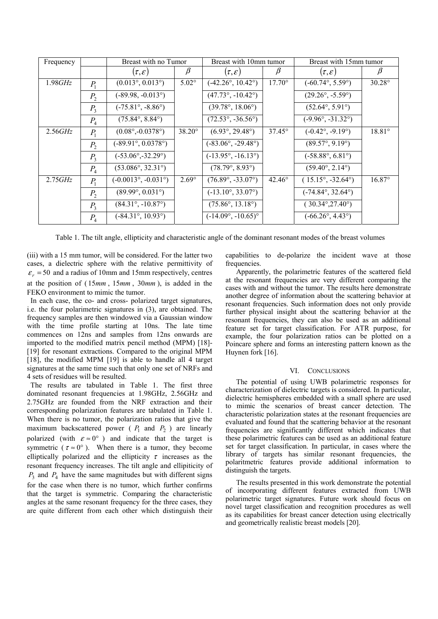| Frequency |         | Breast with no Tumor                |               | Breast with 10mm tumor             |                 | Breast with 15mm tumor            |                 |
|-----------|---------|-------------------------------------|---------------|------------------------------------|-----------------|-----------------------------------|-----------------|
|           |         | $(\tau,\varepsilon)$                | β             | $(\tau,\varepsilon)$               | $\beta$         | $(\tau,\varepsilon)$              | Þ               |
| 1.98GHz   | $P_{1}$ | $(0.013^{\circ}, 0.013^{\circ})$    | $5.02^\circ$  | $(-42.26^{\circ}, 10.42^{\circ})$  | $17.70^{\circ}$ | $(-60.74^{\circ}, 5.59^{\circ})$  | $30.28^\circ$   |
|           | $P_{2}$ | $(-89.98, -0.013^{\circ})$          |               | $(47.73^{\circ}, -10.42^{\circ})$  |                 | $(29.26^{\circ}, -5.59^{\circ})$  |                 |
|           | $P_3$   | $(-75.81^{\circ}, -8.86^{\circ})$   |               | $(39.78^{\circ}, 18.06^{\circ})$   |                 | $(52.64^{\circ}, 5.91^{\circ})$   |                 |
|           | $P_{4}$ | $(75.84^{\circ}, 8.84^{\circ})$     |               | $(72.53^{\circ}, -36.56^{\circ})$  |                 | $(-9.96^{\circ}, -31.32^{\circ})$ |                 |
| 2.56GHz   | $P_1$   | $(0.08^{\circ}, -0.0378^{\circ})$   | $38.20^\circ$ | $(6.93^{\circ}, 29.48^{\circ})$    | $37.45^{\circ}$ | $(-0.42^{\circ}, -9.19^{\circ})$  | $18.81^{\circ}$ |
|           | $P_{2}$ | $(.89.91^{\circ}, 0.0378^{\circ})$  |               | $(-83.06^{\circ}, -29.48^{\circ})$ |                 | $(89.57^{\circ}, 9.19^{\circ})$   |                 |
|           | $P_{3}$ | $(-53.06^{\circ}, -32.29^{\circ})$  |               | $(-13.95^{\circ}, -16.13^{\circ})$ |                 | $(-58.88^{\circ}, 6.81^{\circ})$  |                 |
|           | $P_{4}$ | $(53.086^{\circ}, 32.31^{\circ})$   |               | $(78.79^{\circ}, 8.93^{\circ})$    |                 | $(59.40^{\circ}, 2.14^{\circ})$   |                 |
| 2.75GHz   | $P_{1}$ | $(-0.0013^{\circ}, -0.031^{\circ})$ | $2.69^\circ$  | $(76.89^{\circ}, -33.07^{\circ})$  | $42.46^\circ$   | $(15.15^{\circ}, -32.64^{\circ})$ | $16.87^{\circ}$ |
|           | $P_{2}$ | $(89.99^{\circ}, 0.031^{\circ})$    |               | $(-13.10^{\circ}, 33.07^{\circ})$  |                 | $(-74.84^{\circ}, 32.64^{\circ})$ |                 |
|           | $P_3$   | $(84.31^{\circ}, -10.87^{\circ})$   |               | $(75.86^{\circ}, 13.18^{\circ})$   |                 | $(30.34^{\circ}, 27.40^{\circ})$  |                 |
|           | $P_4$   | $(-84.31^{\circ}, 10.93^{\circ})$   |               | $(-14.09^{\circ}, -10.65)^{\circ}$ |                 | $(-66.26^{\circ}, 4.43^{\circ})$  |                 |

Table 1. The tilt angle, ellipticity and characteristic angle of the dominant resonant modes of the breast volumes

(iii) with a 15 mm tumor, will be considered. For the latter two cases, a dielectric sphere with the relative permittivity of  $\varepsilon_r$  = 50 and a radius of 10mm and 15mm respectively, centres at the position of  $(15mm, 15mm, 30mm)$ , is added in the FEKO environment to mimic the tumor.

In each case, the co- and cross- polarized target signatures, i.e. the four polarimetric signatures in (3), are obtained. The frequency samples are then windowed via a Gaussian window with the time profile starting at 10ns. The late time commences on 12ns and samples from 12ns onwards are imported to the modified matrix pencil method (MPM) [18]- [19] for resonant extractions. Compared to the original MPM [18], the modified MPM [19] is able to handle all 4 target signatures at the same time such that only one set of NRFs and 4 sets of residues will be resulted.

The results are tabulated in Table 1. The first three dominated resonant frequencies at 1.98GHz, 2.56GHz and 2.75GHz are founded from the NRF extraction and their corresponding polarization features are tabulated in Table 1. When there is no tumor, the polarization ratios that give the maximum backscattered power ( $P_1$  and  $P_2$ ) are linearly polarized (with  $\varepsilon \approx 0^{\circ}$ ) and indicate that the target is symmetric ( $\tau \approx 0^\circ$ ). When there is a tumor, they become elliptically polarized and the ellipticity  $\tau$  increases as the resonant frequency increases. The tilt angle and ellipiticity of  $P_3$  and  $P_4$  have the same magnitudes but with different signs for the case when there is no tumor, which further confirms that the target is symmetric. Comparing the characteristic angles at the same resonant frequency for the three cases, they are quite different from each other which distinguish their

capabilities to de-polarize the incident wave at those frequencies.

Apparently, the polarimetric features of the scattered field at the resonant frequencies are very different comparing the cases with and without the tumor. The results here demonstrate another degree of information about the scattering behavior at resonant frequencies. Such information does not only provide further physical insight about the scattering behavior at the resonant frequencies, they can also be used as an additional feature set for target classification. For ATR purpose, for example, the four polarization ratios can be plotted on a Poincare sphere and forms an interesting pattern known as the Huynen fork [16].

#### VI. CONCLUSIONS

The potential of using UWB polarimetric responses for characterization of dielectric targets is considered. In particular, dielectric hemispheres embedded with a small sphere are used to mimic the scenarios of breast cancer detection. The characteristic polarization states at the resonant frequencies are evaluated and found that the scattering behavior at the resonant frequencies are significantly different which indicates that these polarimetric features can be used as an additional feature set for target classification. In particular, in cases where the library of targets has similar resonant frequencies, the polaritmetric features provide additional information to distinguish the targets.

The results presented in this work demonstrate the potential of incorporating different features extracted from UWB polarimetric target signatures. Future work should focus on novel target classification and recognition procedures as well as its capabilities for breast cancer detection using electrically and geometrically realistic breast models [20].